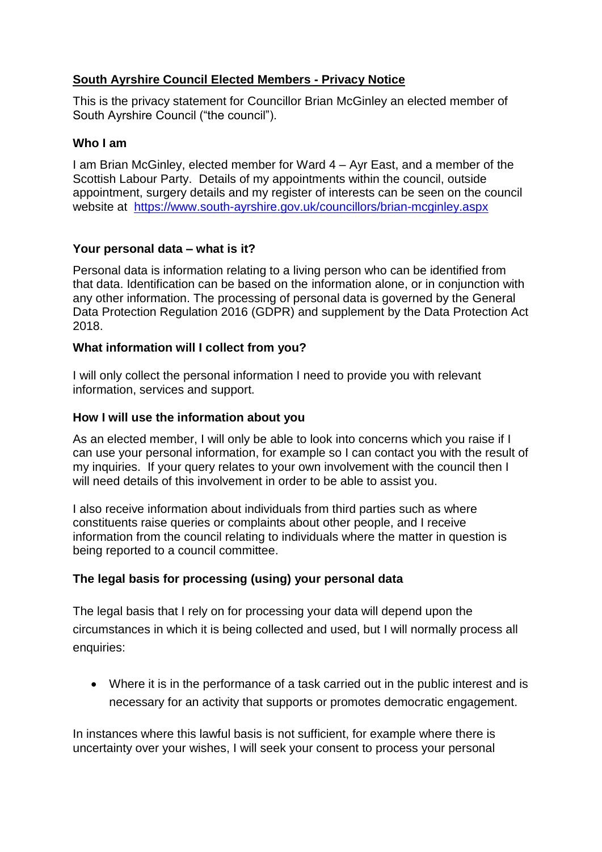# **South Ayrshire Council Elected Members - Privacy Notice**

This is the privacy statement for Councillor Brian McGinley an elected member of South Ayrshire Council ("the council").

## **Who I am**

I am Brian McGinley, elected member for Ward 4 – Ayr East, and a member of the Scottish Labour Party. Details of my appointments within the council, outside appointment, surgery details and my register of interests can be seen on the council website at <https://www.south-ayrshire.gov.uk/councillors/brian-mcginley.aspx>

## **Your personal data – what is it?**

Personal data is information relating to a living person who can be identified from that data. Identification can be based on the information alone, or in conjunction with any other information. The processing of personal data is governed by the General Data Protection Regulation 2016 (GDPR) and supplement by the Data Protection Act 2018.

### **What information will I collect from you?**

I will only collect the personal information I need to provide you with relevant information, services and support.

### **How I will use the information about you**

As an elected member, I will only be able to look into concerns which you raise if I can use your personal information, for example so I can contact you with the result of my inquiries. If your query relates to your own involvement with the council then I will need details of this involvement in order to be able to assist you.

I also receive information about individuals from third parties such as where constituents raise queries or complaints about other people, and I receive information from the council relating to individuals where the matter in question is being reported to a council committee.

## **The legal basis for processing (using) your personal data**

The legal basis that I rely on for processing your data will depend upon the circumstances in which it is being collected and used, but I will normally process all enquiries:

 Where it is in the performance of a task carried out in the public interest and is necessary for an activity that supports or promotes democratic engagement.

In instances where this lawful basis is not sufficient, for example where there is uncertainty over your wishes, I will seek your consent to process your personal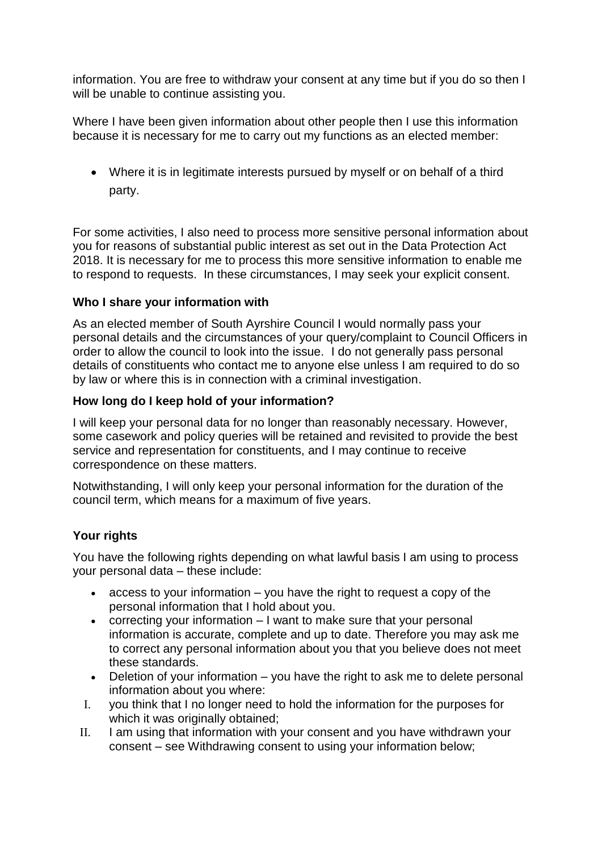information. You are free to withdraw your consent at any time but if you do so then I will be unable to continue assisting you.

Where I have been given information about other people then I use this information because it is necessary for me to carry out my functions as an elected member:

 Where it is in legitimate interests pursued by myself or on behalf of a third party.

For some activities, I also need to process more sensitive personal information about you for reasons of substantial public interest as set out in the Data Protection Act 2018. It is necessary for me to process this more sensitive information to enable me to respond to requests. In these circumstances, I may seek your explicit consent.

### **Who I share your information with**

As an elected member of South Ayrshire Council I would normally pass your personal details and the circumstances of your query/complaint to Council Officers in order to allow the council to look into the issue. I do not generally pass personal details of constituents who contact me to anyone else unless I am required to do so by law or where this is in connection with a criminal investigation.

### **How long do I keep hold of your information?**

I will keep your personal data for no longer than reasonably necessary. However, some casework and policy queries will be retained and revisited to provide the best service and representation for constituents, and I may continue to receive correspondence on these matters.

Notwithstanding, I will only keep your personal information for the duration of the council term, which means for a maximum of five years.

## **Your rights**

You have the following rights depending on what lawful basis I am using to process your personal data – these include:

- $\bullet$  access to your information  $-$  you have the right to request a copy of the personal information that I hold about you.
- correcting your information I want to make sure that your personal information is accurate, complete and up to date. Therefore you may ask me to correct any personal information about you that you believe does not meet these standards.
- Deletion of your information you have the right to ask me to delete personal information about you where:
- I. you think that I no longer need to hold the information for the purposes for which it was originally obtained:
- II. I am using that information with your consent and you have withdrawn your consent – see Withdrawing consent to using your information below;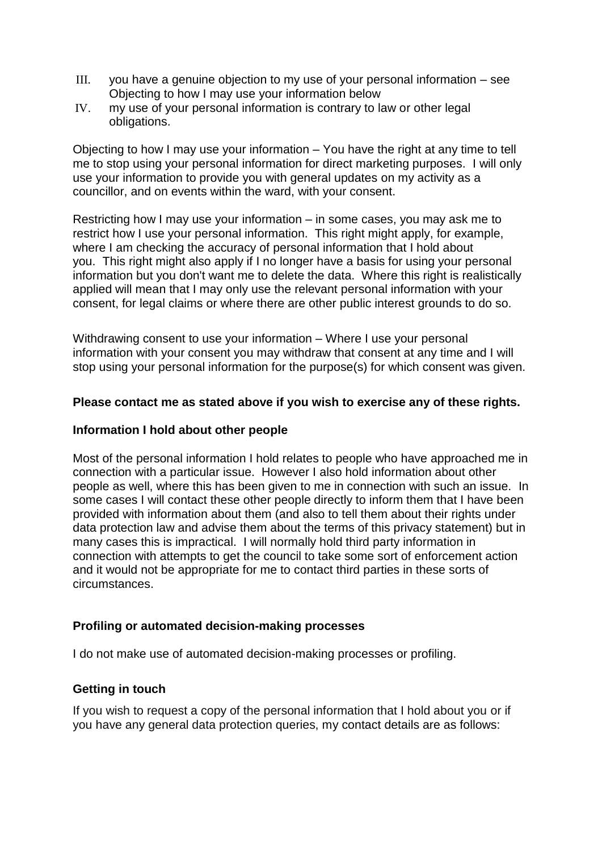- III. you have a genuine objection to my use of your personal information see Objecting to how I may use your information below
- IV. my use of your personal information is contrary to law or other legal obligations.

Objecting to how I may use your information – You have the right at any time to tell me to stop using your personal information for direct marketing purposes. I will only use your information to provide you with general updates on my activity as a councillor, and on events within the ward, with your consent.

Restricting how I may use your information – in some cases, you may ask me to restrict how I use your personal information. This right might apply, for example, where I am checking the accuracy of personal information that I hold about you. This right might also apply if I no longer have a basis for using your personal information but you don't want me to delete the data. Where this right is realistically applied will mean that I may only use the relevant personal information with your consent, for legal claims or where there are other public interest grounds to do so.

Withdrawing consent to use your information – Where I use your personal information with your consent you may withdraw that consent at any time and I will stop using your personal information for the purpose(s) for which consent was given.

### **Please contact me as stated above if you wish to exercise any of these rights.**

### **Information I hold about other people**

Most of the personal information I hold relates to people who have approached me in connection with a particular issue. However I also hold information about other people as well, where this has been given to me in connection with such an issue. In some cases I will contact these other people directly to inform them that I have been provided with information about them (and also to tell them about their rights under data protection law and advise them about the terms of this privacy statement) but in many cases this is impractical. I will normally hold third party information in connection with attempts to get the council to take some sort of enforcement action and it would not be appropriate for me to contact third parties in these sorts of circumstances.

### **Profiling or automated decision-making processes**

I do not make use of automated decision-making processes or profiling.

## **Getting in touch**

If you wish to request a copy of the personal information that I hold about you or if you have any general data protection queries, my contact details are as follows: